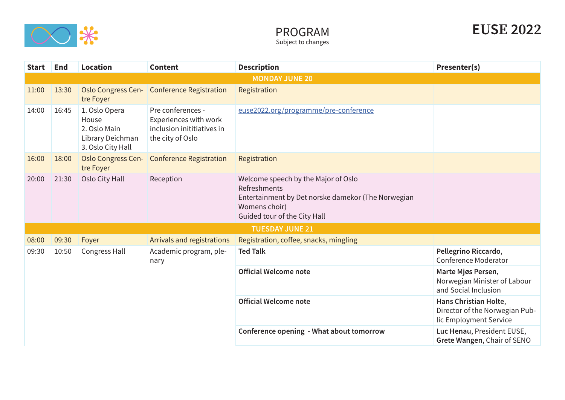

| <b>Start</b>          | End   | <b>Location</b>                                                                 | <b>Content</b>                                                                               | <b>Description</b>                                                                                                                                         | Presenter(s)                                                                      |  |  |
|-----------------------|-------|---------------------------------------------------------------------------------|----------------------------------------------------------------------------------------------|------------------------------------------------------------------------------------------------------------------------------------------------------------|-----------------------------------------------------------------------------------|--|--|
| <b>MONDAY JUNE 20</b> |       |                                                                                 |                                                                                              |                                                                                                                                                            |                                                                                   |  |  |
| 11:00                 | 13:30 | tre Foyer                                                                       | Oslo Congress Cen- Conference Registration                                                   | Registration                                                                                                                                               |                                                                                   |  |  |
| 14:00                 | 16:45 | 1. Oslo Opera<br>House<br>2. Oslo Main<br>Library Deichman<br>3. Oslo City Hall | Pre conferences -<br>Experiences with work<br>inclusion inititiatives in<br>the city of Oslo | euse2022.org/programme/pre-conference                                                                                                                      |                                                                                   |  |  |
| 16:00                 | 18:00 | <b>Oslo Congress Cen-</b><br>tre Foyer                                          | <b>Conference Registration</b>                                                               | Registration                                                                                                                                               |                                                                                   |  |  |
| 20:00                 | 21:30 | Oslo City Hall                                                                  | Reception                                                                                    | Welcome speech by the Major of Oslo<br>Refreshments<br>Entertainment by Det norske damekor (The Norwegian<br>Womens choir)<br>Guided tour of the City Hall |                                                                                   |  |  |
|                       |       |                                                                                 |                                                                                              | <b>TUESDAY JUNE 21</b>                                                                                                                                     |                                                                                   |  |  |
| 08:00                 | 09:30 | Foyer                                                                           | Arrivals and registrations                                                                   | Registration, coffee, snacks, mingling                                                                                                                     |                                                                                   |  |  |
| 09:30                 | 10:50 | Congress Hall                                                                   | Academic program, ple-<br>nary                                                               | <b>Ted Talk</b>                                                                                                                                            | Pellegrino Riccardo,<br>Conference Moderator                                      |  |  |
|                       |       |                                                                                 |                                                                                              | <b>Official Welcome note</b>                                                                                                                               | Marte Mjøs Persen,<br>Norwegian Minister of Labour<br>and Social Inclusion        |  |  |
|                       |       |                                                                                 |                                                                                              | <b>Official Welcome note</b>                                                                                                                               | Hans Christian Holte,<br>Director of the Norwegian Pub-<br>lic Employment Service |  |  |
|                       |       |                                                                                 |                                                                                              | Conference opening - What about tomorrow                                                                                                                   | Luc Henau, President EUSE,<br>Grete Wangen, Chair of SENO                         |  |  |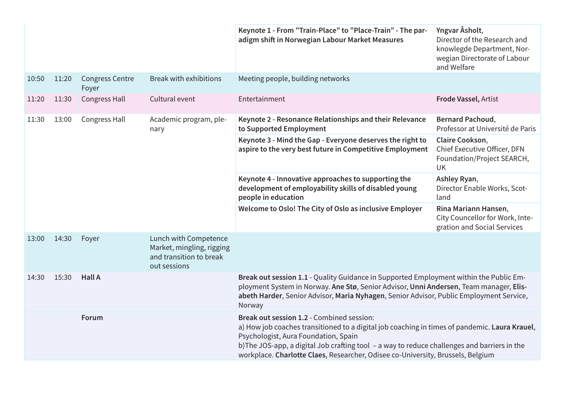|       |       |                                 |                                                                                               | Keynote 1 - From "Train-Place" to "Place-Train" - The par-<br>adigm shift in Norwegian Labour Market Measures                                                                                                                                                                                                                                                         | Yngvar Åsholt,<br>Director of the Research and<br>knowlegde Department, Nor-<br>wegian Directorate of Labour<br>and Welfare |
|-------|-------|---------------------------------|-----------------------------------------------------------------------------------------------|-----------------------------------------------------------------------------------------------------------------------------------------------------------------------------------------------------------------------------------------------------------------------------------------------------------------------------------------------------------------------|-----------------------------------------------------------------------------------------------------------------------------|
| 10:50 | 11:20 | <b>Congress Centre</b><br>Foyer | <b>Break with exhibitions</b>                                                                 | Meeting people, building networks                                                                                                                                                                                                                                                                                                                                     |                                                                                                                             |
| 11:20 | 11:30 | <b>Congress Hall</b>            | Cultural event                                                                                | Entertainment                                                                                                                                                                                                                                                                                                                                                         | Frode Vassel, Artist                                                                                                        |
| 11:30 | 13:00 | <b>Congress Hall</b>            | Academic program, ple-<br>nary                                                                | Keynote 2 - Resonance Relationships and their Relevance<br>to Supported Employment                                                                                                                                                                                                                                                                                    | <b>Bernard Pachoud,</b><br>Professor at Université de Paris                                                                 |
|       |       |                                 |                                                                                               | Keynote 3 - Mind the Gap - Everyone deserves the right to<br>aspire to the very best future in Competitive Employment                                                                                                                                                                                                                                                 | Claire Cookson,<br>Chief Executive Officer, DFN<br>Foundation/Project SEARCH,<br>UK                                         |
|       |       |                                 |                                                                                               | Keynote 4 - Innovative approaches to supporting the<br>development of employability skills of disabled young<br>people in education                                                                                                                                                                                                                                   | Ashley Ryan,<br>Director Enable Works, Scot-<br>land                                                                        |
|       |       |                                 |                                                                                               | Welcome to Oslo! The City of Oslo as inclusive Employer                                                                                                                                                                                                                                                                                                               | Rina Mariann Hansen,<br>City Councellor for Work, Inte-<br>gration and Social Services                                      |
| 13:00 | 14:30 | Foyer                           | Lunch with Competence<br>Market, mingling, rigging<br>and transition to break<br>out sessions |                                                                                                                                                                                                                                                                                                                                                                       |                                                                                                                             |
| 14:30 | 15:30 | <b>Hall A</b>                   |                                                                                               | Break out session 1.1 - Quality Guidance in Supported Employment within the Public Em-<br>ployment System in Norway. Ane Stø, Senior Advisor, Unni Andersen, Team manager, Elis-<br>abeth Harder, Senior Advisor, Maria Nyhagen, Senior Advisor, Public Employment Service,<br>Norway                                                                                 |                                                                                                                             |
|       |       | Forum                           |                                                                                               | Break out session 1.2 - Combined session:<br>a) How job coaches transitioned to a digital job coaching in times of pandemic. Laura Krauel,<br>Psychologist, Aura Foundation, Spain<br>b) The JOS-app, a digital Job crafting tool - a way to reduce challenges and barriers in the<br>workplace. Charlotte Claes, Researcher, Odisee co-University, Brussels, Belgium |                                                                                                                             |
|       |       |                                 |                                                                                               |                                                                                                                                                                                                                                                                                                                                                                       |                                                                                                                             |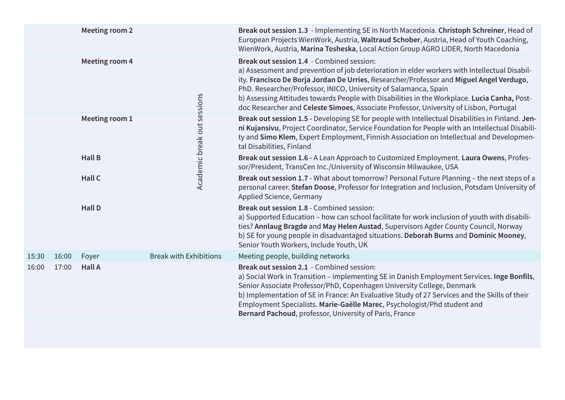|       |       | <b>Meeting room 2</b> |                               |                             | Break out session 1.3 - Implementing SE in North Macedonia. Christoph Schreiner, Head of<br>European Projects WienWork, Austria, Waltraud Schober, Austria, Head of Youth Coaching,<br>WienWork, Austria, Marina Tosheska, Local Action Group AGRO LIDER, North Macedonia                                                                                                                                                                                                                            |
|-------|-------|-----------------------|-------------------------------|-----------------------------|------------------------------------------------------------------------------------------------------------------------------------------------------------------------------------------------------------------------------------------------------------------------------------------------------------------------------------------------------------------------------------------------------------------------------------------------------------------------------------------------------|
|       |       | Meeting room 4        |                               |                             | Break out session 1.4 - Combined session:<br>a) Assessment and prevention of job deterioration in elder workers with Intellectual Disabil-<br>ity. Francisco De Borja Jordan De Urries, Researcher/Professor and Miguel Angel Verdugo,<br>PhD. Researcher/Professor, INICO, University of Salamanca, Spain<br>b) Assessing Attitudes towards People with Disabilities in the Workplace. Lucia Canha, Post-<br>doc Researcher and Celeste Simoes, Associate Professor, University of Lisbon, Portugal |
|       |       | Meeting room 1        |                               | Academic break out sessions | Break out session 1.5 - Developing SE for people with Intellectual Disabilities in Finland. Jen-<br>ni Kujansivu, Project Coordinator, Service Foundation for People with an Intellectual Disabili-<br>ty and Simo Klem, Expert Employment, Finnish Association on Intellectual and Developmen-<br>tal Disabilities, Finland                                                                                                                                                                         |
|       |       | <b>Hall B</b>         |                               |                             | Break out session 1.6 - A Lean Approach to Customized Employment. Laura Owens, Profes-<br>sor/President, TransCen Inc./University of Wisconsin Milwaukee, USA                                                                                                                                                                                                                                                                                                                                        |
|       |       | Hall C                |                               |                             | Break out session 1.7 - What about tomorrow? Personal Future Planning - the next steps of a<br>personal career. Stefan Doose, Professor for Integration and Inclusion, Potsdam University of<br>Applied Science, Germany                                                                                                                                                                                                                                                                             |
|       |       | <b>Hall D</b>         |                               |                             | Break out session 1.8 - Combined session:<br>a) Supported Education - how can school facilitate for work inclusion of youth with disabili-<br>ties? Annlaug Bragdø and May Helen Austad, Supervisors Agder County Council, Norway<br>b) SE for young people in disadvantaged situations. Deborah Burns and Dominic Mooney,<br>Senior Youth Workers, Include Youth, UK                                                                                                                                |
| 15:30 | 16:00 | Foyer                 | <b>Break with Exhibitions</b> |                             | Meeting people, building networks                                                                                                                                                                                                                                                                                                                                                                                                                                                                    |
| 16:00 | 17:00 | <b>Hall A</b>         |                               |                             | Break out session 2.1 - Combined session:<br>a) Social Work in Transition - implementing SE in Danish Employment Services. Inge Bonfils,<br>Senior Associate Professor/PhD, Copenhagen University College, Denmark<br>b) Implementation of SE in France: An Evaluative Study of 27 Services and the Skills of their<br>Employment Specialists. Marie-Gaëlle Marec, Psychologist/Phd student and<br>Bernard Pachoud, professor, University of Paris, France                                           |
|       |       |                       |                               |                             |                                                                                                                                                                                                                                                                                                                                                                                                                                                                                                      |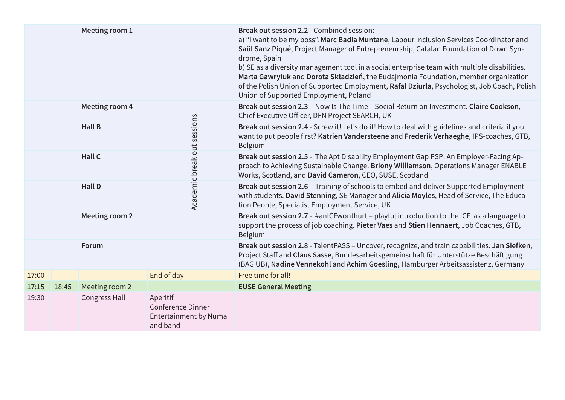|       |       | Meeting room 1        |                                                                    | Break out session 2.2 - Combined session:<br>a) "I want to be my boss". Marc Badia Muntane, Labour Inclusion Services Coordinator and<br>Saül Sanz Piqué, Project Manager of Entrepreneurship, Catalan Foundation of Down Syn-<br>drome, Spain<br>b) SE as a diversity management tool in a social enterprise team with multiple disabilities.<br>Marta Gawryluk and Dorota Składzień, the Eudajmonia Foundation, member organization<br>of the Polish Union of Supported Employment, Rafal Dziurla, Psychologist, Job Coach, Polish<br>Union of Supported Employment, Poland |  |
|-------|-------|-----------------------|--------------------------------------------------------------------|-------------------------------------------------------------------------------------------------------------------------------------------------------------------------------------------------------------------------------------------------------------------------------------------------------------------------------------------------------------------------------------------------------------------------------------------------------------------------------------------------------------------------------------------------------------------------------|--|
|       |       | <b>Meeting room 4</b> |                                                                    | Break out session 2.3 - Now Is The Time - Social Return on Investment. Claire Cookson,<br>Chief Executive Officer, DFN Project SEARCH, UK                                                                                                                                                                                                                                                                                                                                                                                                                                     |  |
|       |       | <b>Hall B</b>         |                                                                    | Break out session 2.4 - Screw it! Let's do it! How to deal with guidelines and criteria if you<br>want to put people first? Katrien Vandersteene and Frederik Verhaeghe, IPS-coaches, GTB,<br><b>Belgium</b>                                                                                                                                                                                                                                                                                                                                                                  |  |
|       |       | Hall C                |                                                                    | Break out session 2.5 - The Apt Disability Employment Gap PSP: An Employer-Facing Ap-<br>proach to Achieving Sustainable Change. Briony Williamson, Operations Manager ENABLE<br>Works, Scotland, and David Cameron, CEO, SUSE, Scotland                                                                                                                                                                                                                                                                                                                                      |  |
|       |       | <b>Hall D</b>         | Academic break out sessions                                        | Break out session 2.6 - Training of schools to embed and deliver Supported Employment<br>with students. David Stenning, SE Manager and Alicia Moyles, Head of Service, The Educa-<br>tion People, Specialist Employment Service, UK                                                                                                                                                                                                                                                                                                                                           |  |
|       |       | Meeting room 2        |                                                                    | Break out session 2.7 - #anICFwonthurt - playful introduction to the ICF as a language to<br>support the process of job coaching. Pieter Vaes and Stien Hennaert, Job Coaches, GTB,<br>Belgium                                                                                                                                                                                                                                                                                                                                                                                |  |
|       |       | Forum                 |                                                                    | Break out session 2.8 - TalentPASS - Uncover, recognize, and train capabilities. Jan Siefken,<br>Project Staff and Claus Sasse, Bundesarbeitsgemeinschaft für Unterstütze Beschäftigung<br>(BAG UB), Nadine Vennekohl and Achim Goesling, Hamburger Arbeitsassistenz, Germany                                                                                                                                                                                                                                                                                                 |  |
| 17:00 |       |                       | End of day                                                         | Free time for all!                                                                                                                                                                                                                                                                                                                                                                                                                                                                                                                                                            |  |
| 17:15 | 18:45 | Meeting room 2        |                                                                    | <b>EUSE General Meeting</b>                                                                                                                                                                                                                                                                                                                                                                                                                                                                                                                                                   |  |
| 19:30 |       | Congress Hall         | Aperitif<br>Conference Dinner<br>Entertainment by Numa<br>and band |                                                                                                                                                                                                                                                                                                                                                                                                                                                                                                                                                                               |  |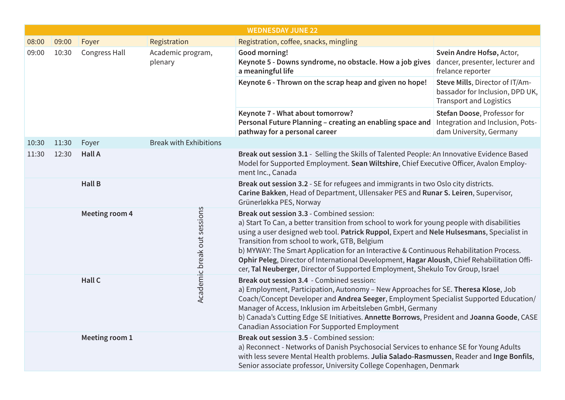|       | <b>WEDNESDAY JUNE 22</b> |                      |                               |                                                                                                                                                                                                                                                                                                                                                                                                                                                                                                                                                                     |                                                                                                      |  |
|-------|--------------------------|----------------------|-------------------------------|---------------------------------------------------------------------------------------------------------------------------------------------------------------------------------------------------------------------------------------------------------------------------------------------------------------------------------------------------------------------------------------------------------------------------------------------------------------------------------------------------------------------------------------------------------------------|------------------------------------------------------------------------------------------------------|--|
| 08:00 | 09:00                    | Foyer                | Registration                  | Registration, coffee, snacks, mingling                                                                                                                                                                                                                                                                                                                                                                                                                                                                                                                              |                                                                                                      |  |
| 09:00 | 10:30                    | <b>Congress Hall</b> | Academic program,<br>plenary  | Good morning!<br>Keynote 5 - Downs syndrome, no obstacle. How a job gives<br>a meaningful life                                                                                                                                                                                                                                                                                                                                                                                                                                                                      | Svein Andre Hofsø, Actor,<br>dancer, presenter, lecturer and<br>frelance reporter                    |  |
|       |                          |                      |                               | Keynote 6 - Thrown on the scrap heap and given no hope!                                                                                                                                                                                                                                                                                                                                                                                                                                                                                                             | Steve Mills, Director of IT/Am-<br>bassador for Inclusion, DPD UK,<br><b>Transport and Logistics</b> |  |
|       |                          |                      |                               | Keynote 7 - What about tomorrow?<br>Personal Future Planning - creating an enabling space and<br>pathway for a personal career                                                                                                                                                                                                                                                                                                                                                                                                                                      | Stefan Doose, Professor for<br>Integration and Inclusion, Pots-<br>dam University, Germany           |  |
| 10:30 | 11:30                    | Foyer                | <b>Break with Exhibitions</b> |                                                                                                                                                                                                                                                                                                                                                                                                                                                                                                                                                                     |                                                                                                      |  |
| 11:30 | 12:30                    | <b>Hall A</b>        |                               | Break out session 3.1 - Selling the Skills of Talented People: An Innovative Evidence Based<br>Model for Supported Employment. Sean Wiltshire, Chief Executive Officer, Avalon Employ-<br>ment Inc., Canada                                                                                                                                                                                                                                                                                                                                                         |                                                                                                      |  |
|       |                          | <b>Hall B</b>        |                               | Break out session 3.2 - SE for refugees and immigrants in two Oslo city districts.<br>Carine Bakken, Head of Department, Ullensaker PES and Runar S. Leiren, Supervisor,<br>Grünerløkka PES, Norway                                                                                                                                                                                                                                                                                                                                                                 |                                                                                                      |  |
|       |                          | Meeting room 4       | Academic break out sessions   | Break out session 3.3 - Combined session:<br>a) Start To Can, a better transition from school to work for young people with disabilities<br>using a user designed web tool. Patrick Ruppol, Expert and Nele Hulsesmans, Specialist in<br>Transition from school to work, GTB, Belgium<br>b) MYWAY: The Smart Application for an Interactive & Continuous Rehabilitation Process.<br>Ophir Peleg, Director of International Development, Hagar Aloush, Chief Rehabilitation Offi-<br>cer, Tal Neuberger, Director of Supported Employment, Shekulo Tov Group, Israel |                                                                                                      |  |
|       |                          | Hall C               |                               | Break out session 3.4 - Combined session:<br>a) Employment, Participation, Autonomy - New Approaches for SE. Theresa Klose, Job<br>Coach/Concept Developer and Andrea Seeger, Employment Specialist Supported Education/<br>Manager of Access, Inklusion im Arbeitsleben GmbH, Germany<br>b) Canada's Cutting Edge SE Initiatives. Annette Borrows, President and Joanna Goode, CASE<br><b>Canadian Association For Supported Employment</b>                                                                                                                        |                                                                                                      |  |
|       |                          | Meeting room 1       |                               | Break out session 3.5 - Combined session:<br>a) Reconnect - Networks of Danish Psychosocial Services to enhance SE for Young Adults<br>with less severe Mental Health problems. Julia Salado-Rasmussen, Reader and Inge Bonfils,<br>Senior associate professor, University College Copenhagen, Denmark                                                                                                                                                                                                                                                              |                                                                                                      |  |